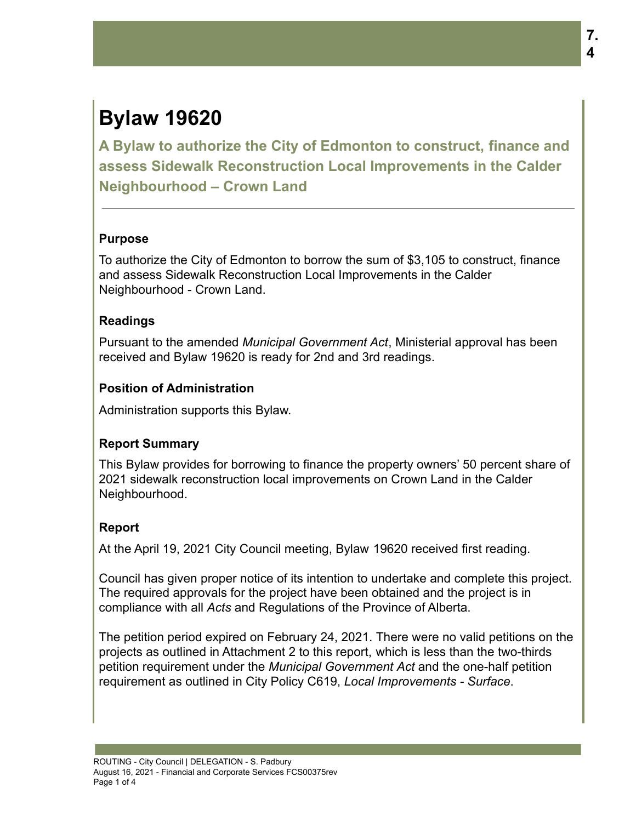# **Bylaw 19620**

**A Bylaw to authorize the City of Edmonton to construct, finance and assess Sidewalk Reconstruction Local Improvements in the Calder Neighbourhood – Crown Land**

## **Purpose**

To authorize the City of Edmonton to borrow the sum of \$3,105 to construct, finance and assess Sidewalk Reconstruction Local Improvements in the Calder Neighbourhood - Crown Land.

## **Readings**

Pursuant to the amended *Municipal Government Act*, Ministerial approval has been received and Bylaw 19620 is ready for 2nd and 3rd readings.

# **Position of Administration**

Administration supports this Bylaw.

# **Report Summary**

This Bylaw provides for borrowing to finance the property owners' 50 percent share of 2021 sidewalk reconstruction local improvements on Crown Land in the Calder Neighbourhood.

# **Report**

At the April 19, 2021 City Council meeting, Bylaw 19620 received first reading.

Council has given proper notice of its intention to undertake and complete this project. The required approvals for the project have been obtained and the project is in compliance with all *Acts* and Regulations of the Province of Alberta.

The petition period expired on February 24, 2021. There were no valid petitions on the projects as outlined in Attachment 2 to this report, which is less than the two-thirds petition requirement under the *Municipal Government Act* and the one-half petition requirement as outlined in City Policy C619, *Local Improvements - Surface*.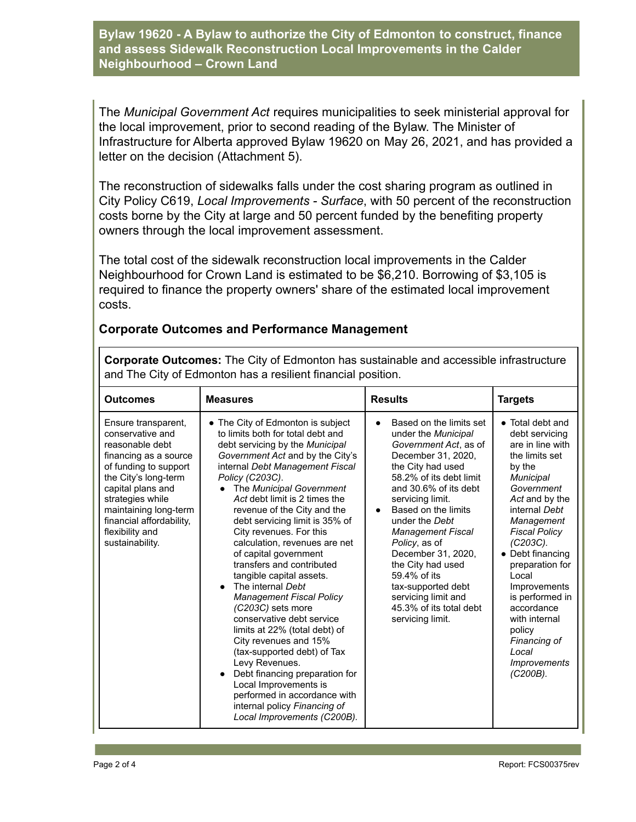**Bylaw 19620 - A Bylaw to authorize the City of Edmonton to construct, finance and assess Sidewalk Reconstruction Local Improvements in the Calder Neighbourhood – Crown Land**

The *Municipal Government Act* requires municipalities to seek ministerial approval for the local improvement, prior to second reading of the Bylaw. The Minister of Infrastructure for Alberta approved Bylaw 19620 on May 26, 2021, and has provided a letter on the decision (Attachment 5).

The reconstruction of sidewalks falls under the cost sharing program as outlined in City Policy C619, *Local Improvements - Surface*, with 50 percent of the reconstruction costs borne by the City at large and 50 percent funded by the benefiting property owners through the local improvement assessment.

The total cost of the sidewalk reconstruction local improvements in the Calder Neighbourhood for Crown Land is estimated to be \$6,210. Borrowing of \$3,105 is required to finance the property owners' share of the estimated local improvement costs.

| <b>Outcomes</b>                                                                                                                                                                                                                                                          | <b>Measures</b>                                                                                                                                                                                                                                                                                                                                                                                                                                                                                                                                                                                                                                                                                                                                                                                                                                                                                       | <b>Results</b>                                                                                                                                                                                                                                                                                                                                                                                                                          | <b>Targets</b>                                                                                                                                                                                                                                                                                                                                                                                       |
|--------------------------------------------------------------------------------------------------------------------------------------------------------------------------------------------------------------------------------------------------------------------------|-------------------------------------------------------------------------------------------------------------------------------------------------------------------------------------------------------------------------------------------------------------------------------------------------------------------------------------------------------------------------------------------------------------------------------------------------------------------------------------------------------------------------------------------------------------------------------------------------------------------------------------------------------------------------------------------------------------------------------------------------------------------------------------------------------------------------------------------------------------------------------------------------------|-----------------------------------------------------------------------------------------------------------------------------------------------------------------------------------------------------------------------------------------------------------------------------------------------------------------------------------------------------------------------------------------------------------------------------------------|------------------------------------------------------------------------------------------------------------------------------------------------------------------------------------------------------------------------------------------------------------------------------------------------------------------------------------------------------------------------------------------------------|
| Ensure transparent,<br>conservative and<br>reasonable debt<br>financing as a source<br>of funding to support<br>the City's long-term<br>capital plans and<br>strategies while<br>maintaining long-term<br>financial affordability,<br>flexibility and<br>sustainability. | • The City of Edmonton is subject<br>to limits both for total debt and<br>debt servicing by the Municipal<br>Government Act and by the City's<br>internal Debt Management Fiscal<br>Policy (C203C).<br>The Municipal Government<br>$\bullet$<br>Act debt limit is 2 times the<br>revenue of the City and the<br>debt servicing limit is 35% of<br>City revenues. For this<br>calculation, revenues are net<br>of capital government<br>transfers and contributed<br>tangible capital assets.<br>The internal Debt<br>$\bullet$<br><b>Management Fiscal Policy</b><br>(C203C) sets more<br>conservative debt service<br>limits at 22% (total debt) of<br>City revenues and 15%<br>(tax-supported debt) of Tax<br>Levy Revenues.<br>Debt financing preparation for<br>$\bullet$<br>Local Improvements is<br>performed in accordance with<br>internal policy Financing of<br>Local Improvements (C200B). | Based on the limits set<br>under the Municipal<br>Government Act. as of<br>December 31, 2020,<br>the City had used<br>58.2% of its debt limit<br>and 30.6% of its debt<br>servicing limit.<br>Based on the limits<br>under the Debt<br><b>Management Fiscal</b><br>Policy, as of<br>December 31, 2020,<br>the City had used<br>59.4% of its<br>tax-supported debt<br>servicing limit and<br>45.3% of its total debt<br>servicing limit. | • Total debt and<br>debt servicing<br>are in line with<br>the limits set<br>by the<br><b>Municipal</b><br>Government<br>Act and by the<br>internal Debt<br>Management<br><b>Fiscal Policy</b><br>(C203C).<br>• Debt financing<br>preparation for<br>Local<br>Improvements<br>is performed in<br>accordance<br>with internal<br>policy<br>Financing of<br>Local<br><b>Improvements</b><br>$(C200B)$ . |

#### **Corporate Outcomes and Performance Management**

**Corporate Outcomes:** The City of Edmonton has sustainable and accessible infrastructure and The City of Edmonton has a resilient financial position.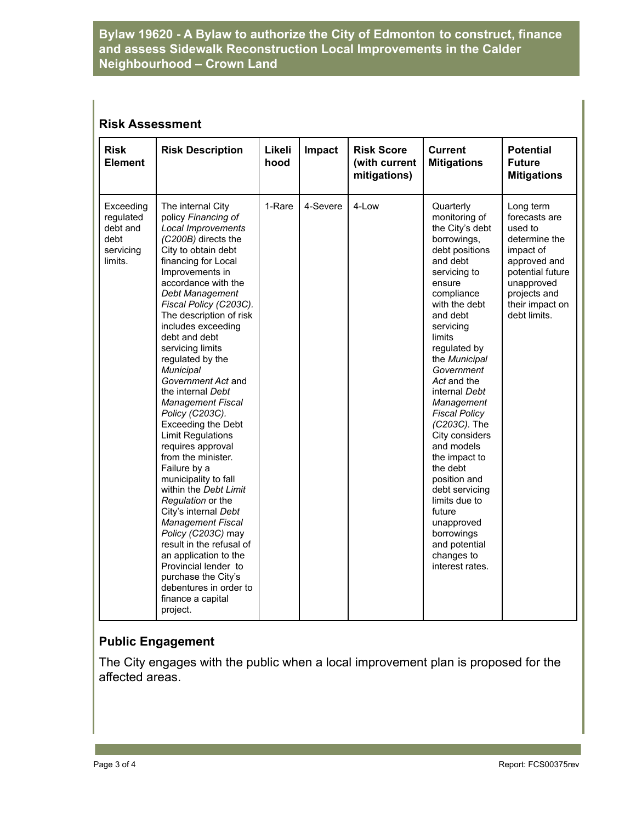#### **Bylaw 19620 - A Bylaw to authorize the City of Edmonton to construct, finance and assess Sidewalk Reconstruction Local Improvements in the Calder Neighbourhood – Crown Land**

#### **Risk Assessment**

| <b>Risk</b><br><b>Element</b>                                      | <b>Risk Description</b>                                                                                                                                                                                                                                                                                                                                                                                                                                                                                                                                                                                                                                                                                                                                                                                                                                                 | Likeli<br>hood | Impact   | <b>Risk Score</b><br>(with current<br>mitigations) | <b>Current</b><br><b>Mitigations</b>                                                                                                                                                                                                                                                                                                                                                                                                                                                                                                | <b>Potential</b><br><b>Future</b><br><b>Mitigations</b>                                                                                                                  |
|--------------------------------------------------------------------|-------------------------------------------------------------------------------------------------------------------------------------------------------------------------------------------------------------------------------------------------------------------------------------------------------------------------------------------------------------------------------------------------------------------------------------------------------------------------------------------------------------------------------------------------------------------------------------------------------------------------------------------------------------------------------------------------------------------------------------------------------------------------------------------------------------------------------------------------------------------------|----------------|----------|----------------------------------------------------|-------------------------------------------------------------------------------------------------------------------------------------------------------------------------------------------------------------------------------------------------------------------------------------------------------------------------------------------------------------------------------------------------------------------------------------------------------------------------------------------------------------------------------------|--------------------------------------------------------------------------------------------------------------------------------------------------------------------------|
| Exceeding<br>regulated<br>debt and<br>debt<br>servicing<br>limits. | The internal City<br>policy Financing of<br>Local Improvements<br>(C200B) directs the<br>City to obtain debt<br>financing for Local<br>Improvements in<br>accordance with the<br>Debt Management<br>Fiscal Policy (C203C).<br>The description of risk<br>includes exceeding<br>debt and debt<br>servicing limits<br>regulated by the<br>Municipal<br>Government Act and<br>the internal Debt<br><b>Management Fiscal</b><br>Policy (C203C).<br>Exceeding the Debt<br><b>Limit Regulations</b><br>requires approval<br>from the minister.<br>Failure by a<br>municipality to fall<br>within the Debt Limit<br>Regulation or the<br>City's internal Debt<br><b>Management Fiscal</b><br>Policy (C203C) may<br>result in the refusal of<br>an application to the<br>Provincial lender to<br>purchase the City's<br>debentures in order to<br>finance a capital<br>project. | 1-Rare         | 4-Severe | 4-Low                                              | Quarterly<br>monitoring of<br>the City's debt<br>borrowings,<br>debt positions<br>and debt<br>servicing to<br>ensure<br>compliance<br>with the debt<br>and debt<br>servicing<br>limits<br>regulated by<br>the Municipal<br>Government<br>Act and the<br>internal Debt<br>Management<br><b>Fiscal Policy</b><br>(C203C). The<br>City considers<br>and models<br>the impact to<br>the debt<br>position and<br>debt servicing<br>limits due to<br>future<br>unapproved<br>borrowings<br>and potential<br>changes to<br>interest rates. | Long term<br>forecasts are<br>used to<br>determine the<br>impact of<br>approved and<br>potential future<br>unapproved<br>projects and<br>their impact on<br>debt limits. |

## **Public Engagement**

The City engages with the public when a local improvement plan is proposed for the affected areas.